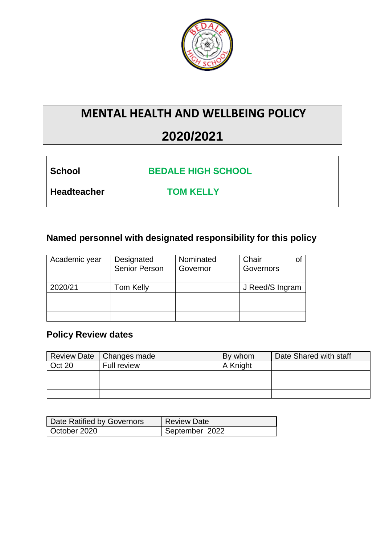

## **MENTAL HEALTH AND WELLBEING POLICY**

# **2020/2021**

| School |  |
|--------|--|
|        |  |

**School BEDALE HIGH SCHOOL**

**Headteacher TOM KELLY**

## **Named personnel with designated responsibility for this policy**

| Academic year | Designated<br>Senior Person | Nominated<br>Governor | Chair<br>Οt<br>Governors |
|---------------|-----------------------------|-----------------------|--------------------------|
| 2020/21       | Tom Kelly                   |                       | J Reed/S Ingram          |
|               |                             |                       |                          |
|               |                             |                       |                          |
|               |                             |                       |                          |

## **Policy Review dates**

|        | Review Date   Changes made | By whom  | Date Shared with staff |
|--------|----------------------------|----------|------------------------|
| Oct 20 | Full review                | A Knight |                        |
|        |                            |          |                        |
|        |                            |          |                        |
|        |                            |          |                        |

| Date Ratified by Governors | <b>Review Date</b> |
|----------------------------|--------------------|
| October 2020               | September 2022     |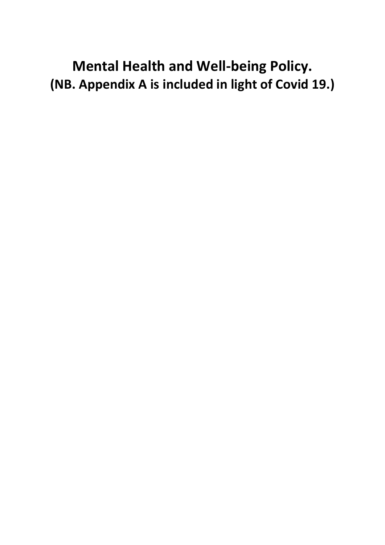**Mental Health and Well-being Policy. (NB. Appendix A is included in light of Covid 19.)**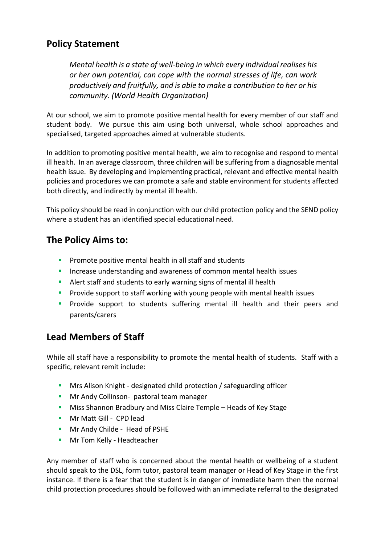#### **Policy Statement**

*Mental health is a state of well-being in which every individual realises his or her own potential, can cope with the normal stresses of life, can work productively and fruitfully, and is able to make a contribution to her or his community. (World Health Organization)*

At our school, we aim to promote positive mental health for every member of our staff and student body. We pursue this aim using both universal, whole school approaches and specialised, targeted approaches aimed at vulnerable students.

In addition to promoting positive mental health, we aim to recognise and respond to mental ill health. In an average classroom, three children will be suffering from a diagnosable mental health issue. By developing and implementing practical, relevant and effective mental health policies and procedures we can promote a safe and stable environment for students affected both directly, and indirectly by mental ill health.

This policy should be read in conjunction with our child protection policy and the SEND policy where a student has an identified special educational need.

#### **The Policy Aims to:**

- Promote positive mental health in all staff and students
- **Increase understanding and awareness of common mental health issues**
- Alert staff and students to early warning signs of mental ill health
- **Provide support to staff working with young people with mental health issues**
- **Provide support to students suffering mental ill health and their peers and** parents/carers

#### **Lead Members of Staff**

While all staff have a responsibility to promote the mental health of students. Staff with a specific, relevant remit include:

- **Mrs Alison Knight designated child protection / safeguarding officer**
- **Mr Andy Collinson- pastoral team manager**
- **Miss Shannon Bradbury and Miss Claire Temple Heads of Key Stage**
- **Mr Matt Gill CPD lead**
- **Mr Andy Childe Head of PSHE**
- **Mr Tom Kelly Headteacher**

Any member of staff who is concerned about the mental health or wellbeing of a student should speak to the DSL, form tutor, pastoral team manager or Head of Key Stage in the first instance. If there is a fear that the student is in danger of immediate harm then the normal child protection procedures should be followed with an immediate referral to the designated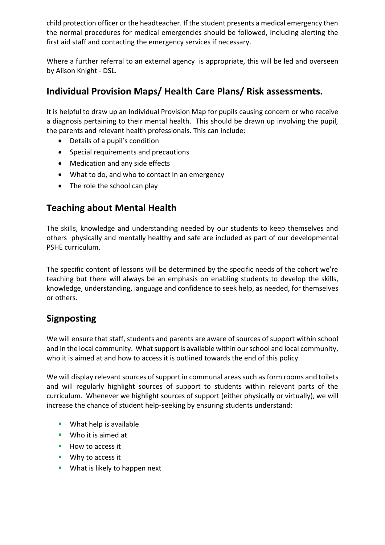child protection officer or the headteacher. If the student presents a medical emergency then the normal procedures for medical emergencies should be followed, including alerting the first aid staff and contacting the emergency services if necessary.

Where a further referral to an external agency is appropriate, this will be led and overseen by Alison Knight - DSL.

#### **Individual Provision Maps/ Health Care Plans/ Risk assessments.**

It is helpful to draw up an Individual Provision Map for pupils causing concern or who receive a diagnosis pertaining to their mental health. This should be drawn up involving the pupil, the parents and relevant health professionals. This can include:

- Details of a pupil's condition
- Special requirements and precautions
- Medication and any side effects
- What to do, and who to contact in an emergency
- The role the school can play

### **Teaching about Mental Health**

The skills, knowledge and understanding needed by our students to keep themselves and others physically and mentally healthy and safe are included as part of our developmental PSHE curriculum.

The specific content of lessons will be determined by the specific needs of the cohort we're teaching but there will always be an emphasis on enabling students to develop the skills, knowledge, understanding, language and confidence to seek help, as needed, for themselves or others.

#### **Signposting**

We will ensure that staff, students and parents are aware of sources of support within school and in the local community. What support is available within our school and local community, who it is aimed at and how to access it is outlined towards the end of this policy.

We will display relevant sources of support in communal areas such as form rooms and toilets and will regularly highlight sources of support to students within relevant parts of the curriculum. Whenever we highlight sources of support (either physically or virtually), we will increase the chance of student help-seeking by ensuring students understand:

- **What help is available**
- **Who it is aimed at**
- How to access it
- **Why to access it**
- **What is likely to happen next**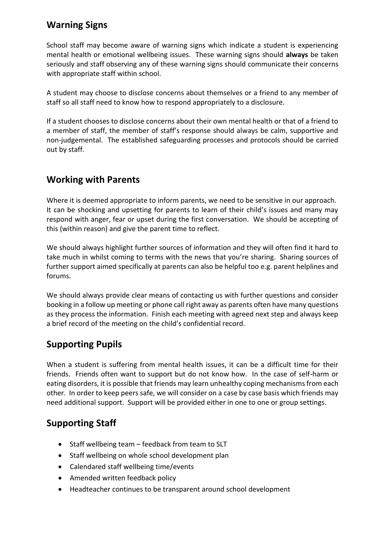#### **Warning Signs**

School staff may become aware of warning signs which indicate a student is experiencing mental health or emotional wellbeing issues. These warning signs should **always** be taken seriously and staff observing any of these warning signs should communicate their concerns with appropriate staff within school.

A student may choose to disclose concerns about themselves or a friend to any member of staff so all staff need to know how to respond appropriately to a disclosure.

If a student chooses to disclose concerns about their own mental health or that of a friend to a member of staff, the member of staff's response should always be calm, supportive and non-judgemental. The established safeguarding processes and protocols should be carried out by staff.

#### **Working with Parents**

Where it is deemed appropriate to inform parents, we need to be sensitive in our approach. It can be shocking and upsetting for parents to learn of their child's issues and many may respond with anger, fear or upset during the first conversation. We should be accepting of this (within reason) and give the parent time to reflect.

We should always highlight further sources of information and they will often find it hard to take much in whilst coming to terms with the news that you're sharing. Sharing sources of further support aimed specifically at parents can also be helpful too e.g. parent helplines and forums.

We should always provide clear means of contacting us with further questions and consider booking in a follow up meeting or phone call right away as parents often have many questions as they process the information. Finish each meeting with agreed next step and always keep a brief record of the meeting on the child's confidential record.

#### **Supporting Pupils**

When a student is suffering from mental health issues, it can be a difficult time for their friends. Friends often want to support but do not know how. In the case of self-harm or eating disorders, it is possible that friends may learn unhealthy coping mechanisms from each other. In order to keep peers safe, we will consider on a case by case basis which friends may need additional support. Support will be provided either in one to one or group settings.

#### **Supporting Staff**

- Staff wellbeing team feedback from team to SLT
- Staff wellbeing on whole school development plan
- Calendared staff wellbeing time/events
- Amended written feedback policy
- Headteacher continues to be transparent around school development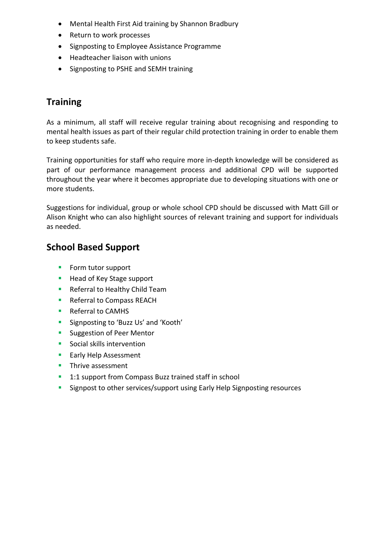- Mental Health First Aid training by Shannon Bradbury
- Return to work processes
- Signposting to Employee Assistance Programme
- Headteacher liaison with unions
- Signposting to PSHE and SEMH training

#### **Training**

As a minimum, all staff will receive regular training about recognising and responding to mental health issues as part of their regular child protection training in order to enable them to keep students safe.

Training opportunities for staff who require more in-depth knowledge will be considered as part of our performance management process and additional CPD will be supported throughout the year where it becomes appropriate due to developing situations with one or more students.

Suggestions for individual, group or whole school CPD should be discussed with Matt Gill or Alison Knight who can also highlight sources of relevant training and support for individuals as needed.

#### **School Based Support**

- **Form tutor support**
- Head of Key Stage support
- **Referral to Healthy Child Team**
- **Referral to Compass REACH**
- Referral to CAMHS
- **Signposting to 'Buzz Us' and 'Kooth'**
- **Suggestion of Peer Mentor**
- **Social skills intervention**
- **Early Help Assessment**
- **Thrive assessment**
- <sup>1</sup> 1:1 support from Compass Buzz trained staff in school
- **Signpost to other services/support using Early Help Signposting resources**